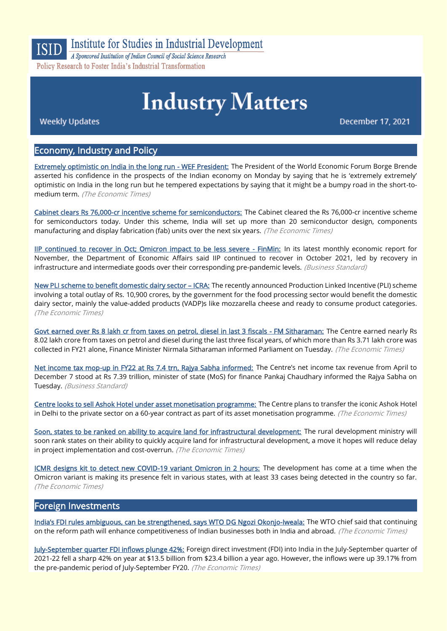

Institute for Studies in Industrial Development

A Sponsored Institution of Indian Council of Social Science Research Policy Research to Foster India's Industrial Transformation

# **Industry Matters**

**Weekly Updates** 

**December 17, 2021** 

# Economy, Industry and Policy

[Extremely optimistic on India in the long run - WEF President:](https://economictimes.indiatimes.com/news/economy/indicators/extremely-optimistic-on-india-in-the-long-term-perspective-wef-president/articleshow/88256457.cms) The President of the World Economic Forum Borge Brende asserted his confidence in the prospects of the Indian economy on Monday by saying that he is 'extremely extremely' optimistic on India in the long run but he tempered expectations by saying that it might be a bumpy road in the short-tomedium term. (The Economic Times)

[Cabinet clears Rs 76,000-cr incentive scheme for semiconductors:](https://economictimes.indiatimes.com/news/economy/policy/cabinet-clears-rs-76000-crore-incentive-scheme-for-semiconductors/articleshow/88296460.cms) The Cabinet cleared the Rs 76,000-cr incentive scheme for semiconductors today. Under this scheme, India will set up more than 20 semiconductor design, components manufacturing and display fabrication (fab) units over the next six years. (The Economic Times)

[IIP continued to recover in Oct; Omicron impact to be less severe - FinMin:](https://www.business-standard.com/article/economy-policy/iip-continued-to-recover-in-oct-but-omicron-can-pose-a-future-risk-finmin-121121100575_1.html) In its latest monthly economic report for November, the Department of Economic Affairs said IIP continued to recover in October 2021, led by recovery in infrastructure and intermediate goods over their corresponding pre-pandemic levels. (Business Standard)

[New PLI scheme to benefit domestic dairy sector](https://economictimes.indiatimes.com/industry/cons-products/food/new-pli-scheme-to-benefit-domestic-dairy-sector-icra/articleshow/88313048.cms) – ICRA: The recently announced Production Linked Incentive (PLI) scheme involving a total outlay of Rs. 10,900 crores, by the government for the food processing sector would benefit the domestic dairy sector, mainly the value-added products (VADP)s like mozzarella cheese and ready to consume product categories. (The Economic Times)

[Govt earned over Rs 8 lakh cr from taxes on petrol, diesel in last 3 fiscals - FM Sitharaman:](https://economictimes.indiatimes.com/news/economy/finance/govt-earned-over-rs-8-lakh-cr-from-taxes-on-petrol-diesel-in-last-3-fiscals-fm-sitharaman/articleshow/88281455.cms) The Centre earned nearly Rs 8.02 lakh crore from taxes on petrol and diesel during the last three fiscal years, of which more than Rs 3.71 lakh crore was collected in FY21 alone. Finance Minister Nirmala Sitharaman informed Parliament on Tuesday. (The Economic Times)

[Net income tax mop-up in FY22 at Rs 7.4 trn, Rajya Sabha informed:](https://www.business-standard.com/article/economy-policy/net-income-tax-mop-up-in-fy22-at-rs-7-4-trn-rajya-sabha-informed-121121500027_1.html) The Centre's net income tax revenue from April to December 7 stood at Rs 7.39 trillion, minister of state (MoS) for finance Pankaj Chaudhary informed the Rajya Sabha on Tuesday. (Business Standard)

[Centre looks to sell Ashok Hotel under asset monetisation programme:](https://economictimes.indiatimes.com/industry/services/hotels-/-restaurants/centre-looks-to-transfer-ashok-hotel-to-private-sector-under-asset-monetisation-programme/articleshow/88234689.cms) The Centre plans to transfer the iconic Ashok Hotel in Delhi to the private sector on a 60-year contract as part of its asset monetisation programme. (The Economic Times)

[Soon, states to be ranked on ability to acquire land for infrastructural development:](https://economictimes.indiatimes.com/news/economy/policy/soon-states-to-be-ranked-on-ability-to-acquire-land-for-infrastructural-development/articleshow/88324227.cms) The rural development ministry will soon rank states on their ability to quickly acquire land for infrastructural development, a move it hopes will reduce delay in project implementation and cost-overrun. (The Economic Times)

[ICMR designs kit to detect new COVID-19 variant Omicron in 2 hours:](https://economictimes.indiatimes.com/industry/healthcare/biotech/pharmaceuticals/icmr-designs-kit-to-detect-new-covid-19-variant-omicron-in-2-hours/articleshow/88234024.cms) The development has come at a time when the Omicron variant is making its presence felt in various states, with at least 33 cases being detected in the country so far. (The Economic Times)

#### Foreign Investments

[India's FDI rules ambiguous, can be strengthened, says WTO D](https://economictimes.indiatimes.com/news/economy/foreign-trade/indias-fdi-rules-ambiguous-can-be-strengthened-says-wto-dg-ngozi-okonjo-iweala/articleshow/88284446.cms)G Ngozi Okonjo-Iweala: The WTO chief said that continuing on the reform path will enhance competitiveness of Indian businesses both in India and abroad. (The Economic Times)

[July-September quarter FDI inflows plunge 42%:](https://economictimes.indiatimes.com/news/economy/finance/july-september-quarter-fdi-inflows-plunge-42/articleshow/88264120.cms) Foreign direct investment (FDI) into India in the July-September quarter of 2021-22 fell a sharp 42% on year at \$13.5 billion from \$23.4 billion a year ago. However, the inflows were up 39.17% from the pre-pandemic period of July-September FY20. (The Economic Times)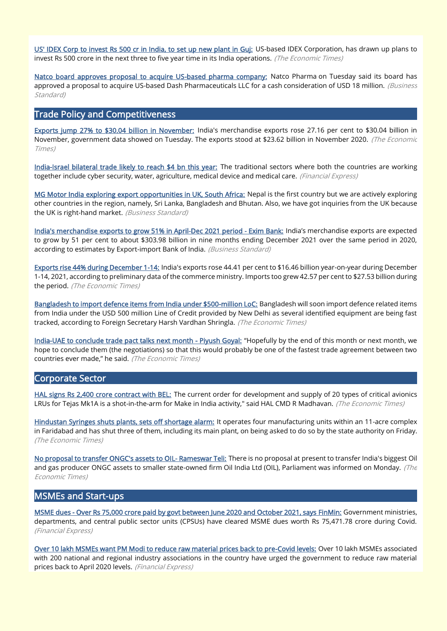[US' IDEX Corp to invest Rs 500 cr in India, to set up new plant in Guj:](https://economictimes.indiatimes.com/industry/cons-products/paints/us-idex-corp-to-invest-rs-500-cr-in-india-to-set-up-new-plant-in-guj/articleshow/88315461.cms) US-based IDEX Corporation, has drawn up plans to invest Rs 500 crore in the next three to five year time in its India operations. (The Economic Times)

[Natco board approves proposal to acquire US-based pharma company:](https://www.business-standard.com/article/companies/natco-board-approves-proposal-to-acquire-us-based-pharma-company-121121401195_1.html) Natco Pharma on Tuesday said its board has approved a proposal to acquire US-based Dash Pharmaceuticals LLC for a cash consideration of USD 18 million. (Business Standard)

# Trade Policy and Competitiveness

[Exports jump 27% to \\$30.04 billion in November:](https://economictimes.indiatimes.com/news/economy/foreign-trade/exports-jump-27-to-30-04-billion-in-november/articleshow/88282181.cms) India's merchandise exports rose 27.16 per cent to \$30.04 billion in November, government data showed on Tuesday. The exports stood at \$23.62 billion in November 2020. (The Economic Times)

[India-Israel bilateral trade likely to reach \\$4 bn this year:](https://www.financialexpress.com/economy/india-israel-bilateral-trade-likely-to-reach-4-bn-this-year/2381046/) The traditional sectors where both the countries are working together include cyber security, water, agriculture, medical device and medical care. (Financial Express)

[MG Motor India exploring export opportunities in UK, South Africa:](https://www.business-standard.com/article/automobile/mg-motor-india-exploring-export-opportunities-in-uk-south-africa-121121200213_1.html) Nepal is the first country but we are actively exploring other countries in the region, namely, Sri Lanka, Bangladesh and Bhutan. Also, we have got inquiries from the UK because the UK is right-hand market. (Business Standard)

[India's merchandise exports to grow 51% in April-Dec 2021 period - Exim Bank:](https://www.business-standard.com/article/economy-policy/india-s-merchandise-exports-to-grow-51-in-april-dec-2021-period-exim-bank-121121300725_1.html) India's merchandise exports are expected to grow by 51 per cent to about \$303.98 billion in nine months ending December 2021 over the same period in 2020, according to estimates by Export-import Bank of India. (Business Standard)

[Exports rise 44% during December 1-14:](https://economictimes.indiatimes.com/news/economy/foreign-trade/exports-rise-44-during-december-1-14/articleshow/88304396.cms) India's exports rose 44.41 per cent to \$16.46 billion year-on-year during December 1-14, 2021, according to preliminary data of the commerce ministry. Imports too grew 42.57 per cent to \$27.53 billion during the period. (The Economic Times)

[Bangladesh to import defence items from India under \\$500-million LoC:](https://economictimes.indiatimes.com/news/defence/bangladesh-to-import-defence-items-from-india-under-500-million-loc/articleshow/88318484.cms) Bangladesh will soon import defence related items from India under the USD 500 million Line of Credit provided by New Delhi as several identified equipment are being fast tracked, according to Foreign Secretary Harsh Vardhan Shringla. (The Economic Times)

[India-UAE to conclude trade pact talks next month - Piyush Goyal:](https://economictimes.indiatimes.com/news/economy/foreign-trade/india-uae-to-conclude-trade-pact-talks-next-month-piyush-goyal/articleshow/88263453.cms) "Hopefully by the end of this month or next month, we hope to conclude them (the negotiations) so that this would probably be one of the fastest trade agreement between two countries ever made," he said. (The Economic Times)

#### Corporate Sector

[HAL signs Rs 2,400 crore contract with BEL:](https://economictimes.indiatimes.com/news/defence/hal-signs-rs-2400-crore-contract-with-bel/articleshow/88312282.cms) The current order for development and supply of 20 types of critical avionics LRUs for Tejas Mk1A is a shot-in-the-arm for Make in India activity," said HAL CMD R Madhavan. (The Economic Times)

[Hindustan Syringes shuts plants, sets off shortage alarm:](https://economictimes.indiatimes.com/news/india/hindustan-syringes-shuts-plants-sets-off-shortage-alarm/articleshow/88216642.cms) It operates four manufacturing units within an 11-acre complex in Faridabad and has shut three of them, including its main plant, on being asked to do so by the state authority on Friday. (The Economic Times)

[No proposal to transfer ONGC's assets to OIL- Rameswar Teli:](https://economictimes.indiatimes.com/industry/energy/oil-gas/no-proposal-to-transfer-ongcs-assets-to-oil-rameswar-teli/articleshow/88257969.cms) There is no proposal at present to transfer India's biggest Oil and gas producer ONGC assets to smaller state-owned firm Oil India Ltd (OIL), Parliament was informed on Monday. (The Economic Times)

# MSMEs and Start-ups

[MSME dues - Over Rs 75,000 crore paid by govt between June 2020 and October 2021, says FinMin:](https://www.financialexpress.com/industry/sme/msme-fin-msme-dues-over-rs-75000-crore-paid-by-govt-between-june-2020-and-october-2021-says-finmin/2387871/) Government ministries, departments, and central public sector units (CPSUs) have cleared MSME dues worth Rs 75,471.78 crore during Covid. (Financial Express)

[Over 10 lakh MSMEs want PM Modi to reduce raw material prices back to pre-Covid levels:](https://www.financialexpress.com/industry/sme/msme-eodb-over-10-lakh-msmes-want-pm-modi-to-reduce-raw-material-prices-back-to-pre-covid-levels/2381517/) Over 10 lakh MSMEs associated with 200 national and regional industry associations in the country have urged the government to reduce raw material prices back to April 2020 levels. (Financial Express)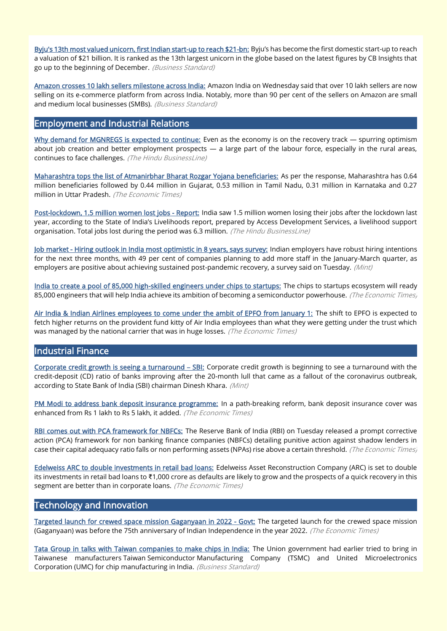[Byju's 13th most valued unicorn, first Indian start-up to reach \\$21-bn:](https://www.business-standard.com/article/companies/byju-s-13th-most-valued-unicorn-first-indian-start-up-to-reach-21-bn-121121300039_1.html) Byju's has become the first domestic start-up to reach a valuation of \$21 billion. It is ranked as the 13th largest unicorn in the globe based on the latest figures by CB Insights that go up to the beginning of December. (Business Standard)

[Amazon crosses 10 lakh sellers milestone across India:](https://www.business-standard.com/article/companies/amazon-crosses-10-lakh-sellers-milestone-across-india-121121501582_1.html) Amazon India on Wednesday said that over 10 lakh sellers are now selling on its e-commerce platform from across India. Notably, more than 90 per cent of the sellers on Amazon are small and medium local businesses (SMBs). (Business Standard)

### Employment and Industrial Relations

[Why demand for MGNREGS is expected to continue:](https://www.thehindubusinessline.com/economy/why-demand-for-mgnregs-is-expected-to-continue/article37971585.ece) Even as the economy is on the recovery track — spurring optimism about job creation and better employment prospects  $-$  a large part of the labour force, especially in the rural areas, continues to face challenges. (The Hindu BusinessLine)

[Maharashtra tops the list of Atmanirbhar Bharat Rozgar Yojana beneficiaries:](https://economictimes.indiatimes.com/news/economy/policy/maharashtra-tops-the-list-of-atmanirbhar-bharat-rozgar-yojana-beneficiaries/articleshow/88254149.cms?from=mdr) As per the response, Maharashtra has 0.64 million beneficiaries followed by 0.44 million in Gujarat, 0.53 million in Tamil Nadu, 0.31 million in Karnataka and 0.27 million in Uttar Pradesh. (The Economic Times)

[Post-lockdown, 1.5 million women lost jobs - Report:](https://www.thehindubusinessline.com/economy/post-lockdown-15-million-women-lost-jobs-report/article37971240.ece) India saw 1.5 million women losing their jobs after the lockdown last year, according to the State of India's Livelihoods report, prepared by Access Development Services, a livelihood support organisation. Total jobs lost during the period was 6.3 million. (The Hindu BusinessLine)

[Job market - Hiring outlook in India most optimistic in 8 years, says survey:](https://www.livemint.com/industry/human-resource/job-market-hiring-outlook-in-india-most-optimistic-in-8-years-says-survey-11639466174247.html) Indian employers have robust hiring intentions for the next three months, with 49 per cent of companies planning to add more staff in the January-March quarter, as employers are positive about achieving sustained post-pandemic recovery, a survey said on Tuesday. (Mint)

[India to create a pool of 85,000 high-skilled engineers under chips to startups:](https://economictimes.indiatimes.com/jobs/india-to-create-a-pool-of-85000-high-skilled-engineers-under-chips-to-startups/articleshow/88297718.cms) The chips to startups ecosystem will ready 85,000 engineers that will help India achieve its ambition of becoming a semiconductor powerhouse. (The Economic Times)

[Air India & Indian Airlines employees to come under the ambit of EPFO from January 1:](https://economictimes.indiatimes.com/industry/transportation/airlines-/-aviation/air-india-indian-airlines-employees-to-come-under-the-ambit-of-epfo-from-january-1/articleshow/88318863.cms) The shift to EPFO is expected to fetch higher returns on the provident fund kitty of Air India employees than what they were getting under the trust which was managed by the national carrier that was in huge losses. (The Economic Times)

#### Industrial Finance

[Corporate credit growth is seeing a turnaround](https://www.livemint.com/companies/news/corporate-credit-growth-is-seeing-a-turnaround-sbi-11639595751989.html) – SBI: Corporate credit growth is beginning to see a turnaround with the credit-deposit (CD) ratio of banks improving after the 20-month lull that came as a fallout of the coronavirus outbreak, according to State Bank of India (SBI) chairman Dinesh Khara. (Mint)

[PM Modi to address bank deposit insurance programme:](https://economictimes.indiatimes.com/wealth/personal-finance-news/pm-modi-to-address-bank-deposit-insurance-programme/articleshow/88220073.cms) In a path-breaking reform, bank deposit insurance cover was enhanced from Rs 1 lakh to Rs 5 lakh, it added. (The Economic Times)

[RBI comes out with PCA framework for NBFCs:](https://economictimes.indiatimes.com/industry/banking/finance/rbi-comes-out-with-pca-framework-for-nbfcs/articleshow/88277487.cms) The Reserve Bank of India (RBI) on Tuesday released a prompt corrective action (PCA) framework for non banking finance companies (NBFCs) detailing punitive action against shadow lenders in case their capital adequacy ratio falls or non performing assets (NPAs) rise above a certain threshold. (The Economic Times)

[Edelweiss ARC to double investments in retail bad loans:](https://economictimes.indiatimes.com/industry/banking/finance/banking/edelweiss-arc-to-double-investments-in-retail-bad-loans/articleshow/88308818.cms) Edelweiss Asset Reconstruction Company (ARC) is set to double its investments in retail bad loans to ₹1,000 crore as defaults are likely to grow and the prospects of a quick recovery in this segment are better than in corporate loans. (The Economic Times)

#### Technology and Innovation

[Targeted launch for crewed space mission Gaganyaan in 2022 - Govt:](https://economictimes.indiatimes.com/news/science/targeted-launch-for-crewed-space-mission-gaganyaan-in-2022-govt/articleshow/88297184.cms) The targeted launch for the crewed space mission (Gaganyaan) was before the 75th anniversary of Indian Independence in the year 2022. (The Economic Times)

[Tata Group in talks with Taiwan companies to make chips in India:](https://www.business-standard.com/article/companies/tata-group-in-talks-with-taiwan-companies-to-make-chips-in-india-121121500062_1.html) The Union government had earlier tried to bring in Taiwanese manufacturers Taiwan Semiconductor Manufacturing Company (TSMC) and United Microelectronics Corporation (UMC) for chip manufacturing in India. (Business Standard)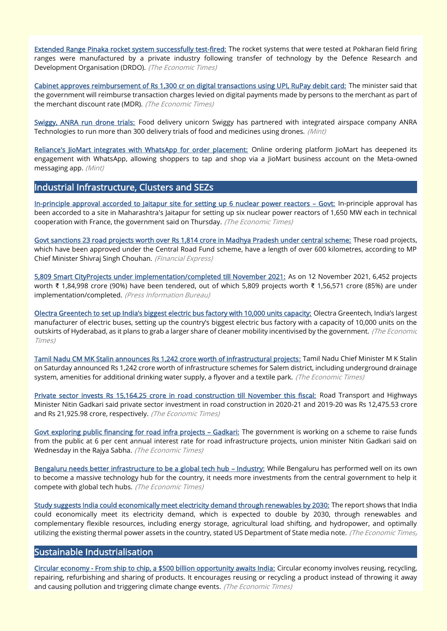[Extended Range Pinaka rocket system successfully test-fired:](https://economictimes.indiatimes.com/news/defence/drdo-successfully-tests-extended-range-pinaka-at-pokhran-range/articleshow/88220393.cms) The rocket systems that were tested at Pokharan field firing ranges were manufactured by a private industry following transfer of technology by the Defence Research and Development Organisation (DRDO). (The Economic Times)

[Cabinet approves reimbursement of Rs 1,300 cr on digital transactions using UPI, RuPay debit card:](https://economictimes.indiatimes.com/news/economy/finance/cabinet-approves-reimbursement-of-rs-1300-cr-on-digital-transactions-using-upi-rupay-debit-card/articleshow/88298447.cms) The minister said that the government will reimburse transaction charges levied on digital payments made by persons to the merchant as part of the merchant discount rate (MDR). (The Economic Times)

[Swiggy, ANRA run drone trials:](https://www.livemint.com/companies/news/swiggy-anra-run-drone-trials-11639596227621.html) Food delivery unicorn Swiggy has partnered with integrated airspace company ANRA Technologies to run more than 300 delivery trials of food and medicines using drones. (Mint)

[Reliance's JioMart integrates with WhatsApp for order placement:](https://www.livemint.com/industry/retail/jiomart-integrates-with-whatsapp-for-order-placement-11639575015990.html) Online ordering platform JioMart has deepened its engagement with WhatsApp, allowing shoppers to tap and shop via a JioMart business account on the Meta-owned messaging app. (Mint)

#### Industrial Infrastructure, Clusters and SEZs

[In-principle approval accorded to Jaitapur site for setting up 6 nuclear power reactors](https://economictimes.indiatimes.com/industry/energy/power/in-principle-approval-accorded-to-jaitapur-site-for-setting-up-6-nuclear-power-reactors-govt/articleshow/88320981.cms) – Govt: In-principle approval has been accorded to a site in Maharashtra's Jaitapur for setting up six nuclear power reactors of 1,650 MW each in technical cooperation with France, the government said on Thursday. (The Economic Times)

[Govt sanctions 23 road projects worth over Rs 1,814 crore in Madhya Pradesh under central scheme:](https://www.financialexpress.com/infrastructure/govt-sanctions-23-road-projects-worth-over-rs-1814-crore-in-madhya-pradesh-under-central-scheme-details-here/2381319/) These road projects, which have been approved under the Central Road Fund scheme, have a length of over 600 kilometres, according to MP Chief Minister Shivraj Singh Chouhan. (Financial Express)

[5,809 Smart CityProjects under implementation/completed till November 2021:](https://pib.gov.in/PressReleasePage.aspx?PRID=1780910) As on 12 November 2021, 6,452 projects worth ₹ 1,84,998 crore (90%) have been tendered, out of which 5,809 projects worth ₹ 1,56,571 crore (85%) are under implementation/completed. (Press Information Bureau)

[Olectra Greentech to set up India's biggest electric bus factory with 10,000 units capacity:](https://auto.economictimes.indiatimes.com/news/commercial-vehicle/mhcv/olectra-greentech-to-set-up-indias-biggest-electric-bus-factory-with-10000-units-capacity/88210264) Olectra Greentech, India's largest manufacturer of electric buses, setting up the country's biggest electric bus factory with a capacity of 10,000 units on the outskirts of Hyderabad, as it plans to grab a larger share of cleaner mobility incentivised by the government. (The Economic Times)

[Tamil Nadu CM MK Stalin announces Rs 1,242 crore worth of infrastructural projects:](https://economictimes.indiatimes.com/news/economy/infrastructure/tamil-nadu-cm-mk-stalin-announces-rs-1242-crore-worth-of-infrastructural-projects/articleshow/88229036.cms) Tamil Nadu Chief Minister M K Stalin on Saturday announced Rs 1,242 crore worth of infrastructure schemes for Salem district, including underground drainage system, amenities for additional drinking water supply, a flyover and a textile park. (The Economic Times)

[Private sector invests Rs 15,164.25 crore in road construction till November this fiscal:](https://economictimes.indiatimes.com/news/economy/infrastructure/private-sector-invests-rs-15164-25-crore-in-road-construction-till-november-this-fiscal/articleshow/88318430.cms) Road Transport and Highways Minister Nitin Gadkari said private sector investment in road construction in 2020-21 and 2019-20 was Rs 12,475.53 crore and Rs 21,925.98 crore, respectively. (The Economic Times)

[Govt exploring public financing for road infra projects](https://economictimes.indiatimes.com/news/economy/infrastructure/govt-exploring-public-financing-for-road-infra-projects-gadkari/articleshow/88299524.cms) - Gadkari: The government is working on a scheme to raise funds from the public at 6 per cent annual interest rate for road infrastructure projects, union minister Nitin Gadkari said on Wednesday in the Rajya Sabha. (The Economic Times)

[Bengaluru needs better infrastructure to be a global tech hub](https://economictimes.indiatimes.com/tech/tech-bytes/bengaluru-needs-better-infrastructure-to-be-a-global-tech-hub-industry/articleshow/88299433.cms) – Industry: While Bengaluru has performed well on its own to become a massive technology hub for the country, it needs more investments from the central government to help it compete with global tech hubs. (The Economic Times)

[Study suggests India could economically meet electricity demand through renewables by 2030:](https://economictimes.indiatimes.com/industry/renewables/study-suggests-india-could-economically-meet-electricity-demand-through-renewables-by-2030/articleshow/88211090.cms) The report shows that India could economically meet its electricity demand, which is expected to double by 2030, through renewables and complementary flexible resources, including energy storage, agricultural load shifting, and hydropower, and optimally utilizing the existing thermal power assets in the country, stated US Department of State media note. (The Economic Times)

#### Sustainable Industrialisation

[Circular economy - From ship to chip, a \\$500 billion opportunity awaits India:](https://economictimes.indiatimes.com/small-biz/sme-sector/circular-economy-from-ship-to-chip-a-500-billion-opportunity-awaits-india/articleshow/88310905.cms) Circular economy involves reusing, recycling, repairing, refurbishing and sharing of products. It encourages reusing or recycling a product instead of throwing it away and causing pollution and triggering climate change events. (The Economic Times)